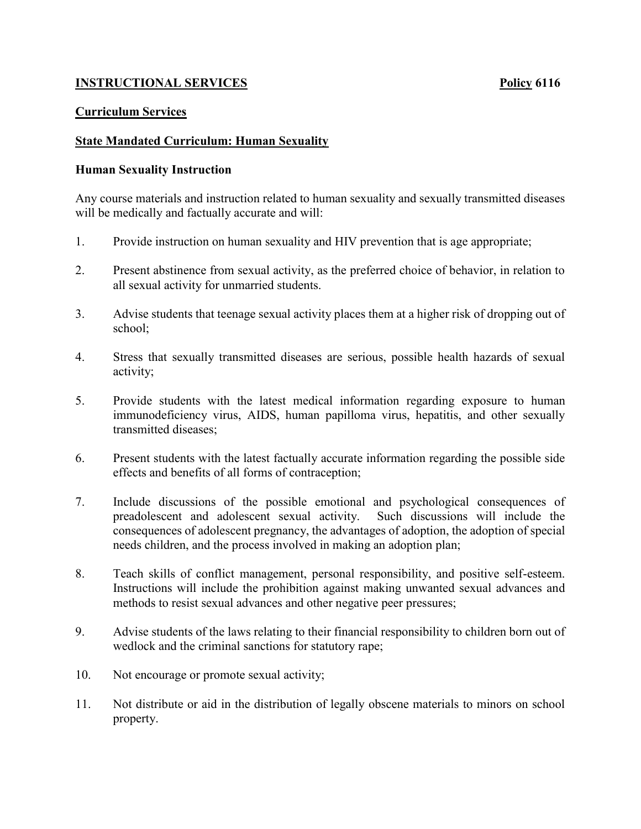# **INSTRUCTIONAL SERVICES Policy 6116**

## **Curriculum Services**

## **State Mandated Curriculum: Human Sexuality**

#### **Human Sexuality Instruction**

Any course materials and instruction related to human sexuality and sexually transmitted diseases will be medically and factually accurate and will:

- 1. Provide instruction on human sexuality and HIV prevention that is age appropriate;
- 2. Present abstinence from sexual activity, as the preferred choice of behavior, in relation to all sexual activity for unmarried students.
- 3. Advise students that teenage sexual activity places them at a higher risk of dropping out of school;
- 4. Stress that sexually transmitted diseases are serious, possible health hazards of sexual activity;
- 5. Provide students with the latest medical information regarding exposure to human immunodeficiency virus, AIDS, human papilloma virus, hepatitis, and other sexually transmitted diseases;
- 6. Present students with the latest factually accurate information regarding the possible side effects and benefits of all forms of contraception;
- 7. Include discussions of the possible emotional and psychological consequences of preadolescent and adolescent sexual activity. Such discussions will include the consequences of adolescent pregnancy, the advantages of adoption, the adoption of special needs children, and the process involved in making an adoption plan;
- 8. Teach skills of conflict management, personal responsibility, and positive self-esteem. Instructions will include the prohibition against making unwanted sexual advances and methods to resist sexual advances and other negative peer pressures;
- 9. Advise students of the laws relating to their financial responsibility to children born out of wedlock and the criminal sanctions for statutory rape;
- 10. Not encourage or promote sexual activity;
- 11. Not distribute or aid in the distribution of legally obscene materials to minors on school property.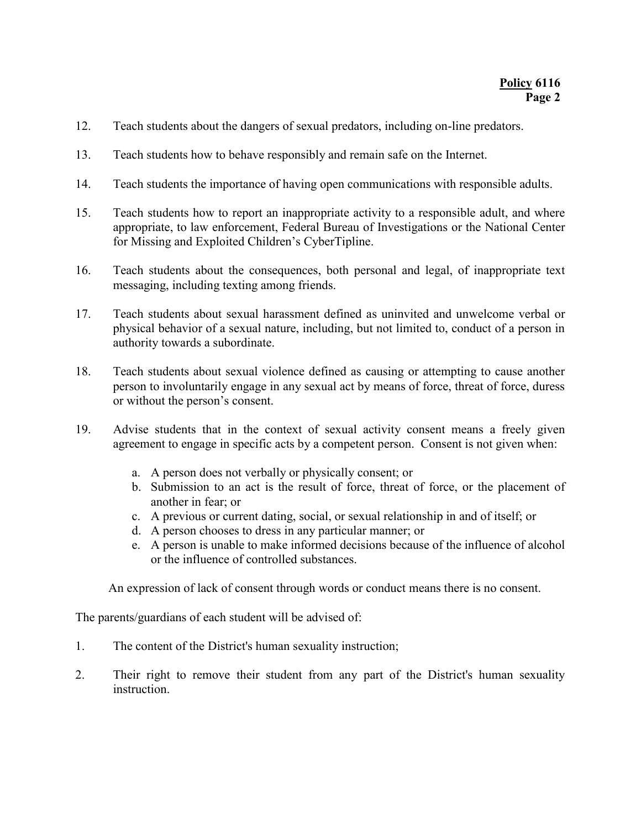- 12. Teach students about the dangers of sexual predators, including on-line predators.
- 13. Teach students how to behave responsibly and remain safe on the Internet.
- 14. Teach students the importance of having open communications with responsible adults.
- 15. Teach students how to report an inappropriate activity to a responsible adult, and where appropriate, to law enforcement, Federal Bureau of Investigations or the National Center for Missing and Exploited Children's CyberTipline.
- 16. Teach students about the consequences, both personal and legal, of inappropriate text messaging, including texting among friends.
- 17. Teach students about sexual harassment defined as uninvited and unwelcome verbal or physical behavior of a sexual nature, including, but not limited to, conduct of a person in authority towards a subordinate.
- 18. Teach students about sexual violence defined as causing or attempting to cause another person to involuntarily engage in any sexual act by means of force, threat of force, duress or without the person's consent.
- 19. Advise students that in the context of sexual activity consent means a freely given agreement to engage in specific acts by a competent person. Consent is not given when:
	- a. A person does not verbally or physically consent; or
	- b. Submission to an act is the result of force, threat of force, or the placement of another in fear; or
	- c. A previous or current dating, social, or sexual relationship in and of itself; or
	- d. A person chooses to dress in any particular manner; or
	- e. A person is unable to make informed decisions because of the influence of alcohol or the influence of controlled substances.

An expression of lack of consent through words or conduct means there is no consent.

The parents/guardians of each student will be advised of:

- 1. The content of the District's human sexuality instruction;
- 2. Their right to remove their student from any part of the District's human sexuality instruction.